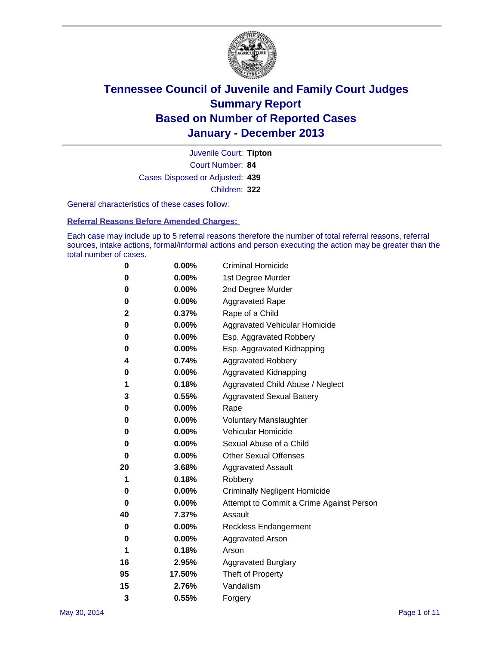

Court Number: **84** Juvenile Court: **Tipton** Cases Disposed or Adjusted: **439** Children: **322**

General characteristics of these cases follow:

**Referral Reasons Before Amended Charges:** 

Each case may include up to 5 referral reasons therefore the number of total referral reasons, referral sources, intake actions, formal/informal actions and person executing the action may be greater than the total number of cases.

| 0  | $0.00\%$ | <b>Criminal Homicide</b>                 |
|----|----------|------------------------------------------|
| 0  | 0.00%    | 1st Degree Murder                        |
| 0  | 0.00%    | 2nd Degree Murder                        |
| 0  | $0.00\%$ | <b>Aggravated Rape</b>                   |
| 2  | 0.37%    | Rape of a Child                          |
| 0  | $0.00\%$ | Aggravated Vehicular Homicide            |
| 0  | 0.00%    | Esp. Aggravated Robbery                  |
| 0  | 0.00%    | Esp. Aggravated Kidnapping               |
| 4  | 0.74%    | <b>Aggravated Robbery</b>                |
| 0  | 0.00%    | Aggravated Kidnapping                    |
| 1  | 0.18%    | Aggravated Child Abuse / Neglect         |
| 3  | 0.55%    | <b>Aggravated Sexual Battery</b>         |
| 0  | 0.00%    | Rape                                     |
| 0  | $0.00\%$ | <b>Voluntary Manslaughter</b>            |
| 0  | 0.00%    | Vehicular Homicide                       |
| 0  | 0.00%    | Sexual Abuse of a Child                  |
| 0  | $0.00\%$ | <b>Other Sexual Offenses</b>             |
| 20 | 3.68%    | <b>Aggravated Assault</b>                |
| 1  | 0.18%    | Robbery                                  |
| 0  | $0.00\%$ | <b>Criminally Negligent Homicide</b>     |
| 0  | 0.00%    | Attempt to Commit a Crime Against Person |
| 40 | 7.37%    | Assault                                  |
| 0  | 0.00%    | <b>Reckless Endangerment</b>             |
| 0  | 0.00%    | <b>Aggravated Arson</b>                  |
| 1  | 0.18%    | Arson                                    |
| 16 | 2.95%    | <b>Aggravated Burglary</b>               |
| 95 | 17.50%   | Theft of Property                        |
| 15 | 2.76%    | Vandalism                                |
| 3  | 0.55%    | Forgery                                  |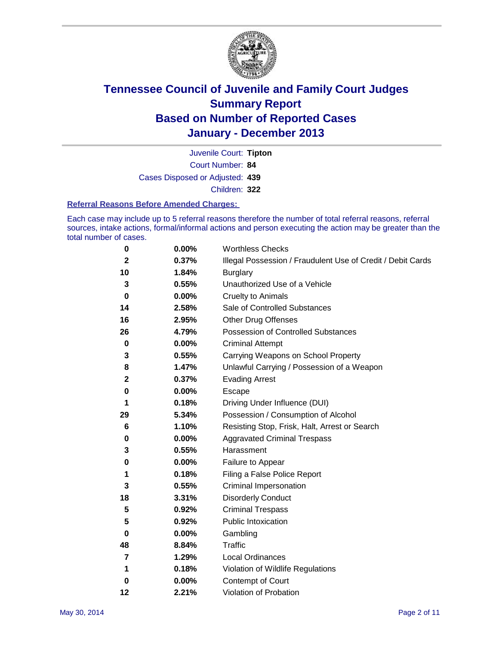

Court Number: **84** Juvenile Court: **Tipton** Cases Disposed or Adjusted: **439** Children: **322**

#### **Referral Reasons Before Amended Charges:**

Each case may include up to 5 referral reasons therefore the number of total referral reasons, referral sources, intake actions, formal/informal actions and person executing the action may be greater than the total number of cases.

| 0              | 0.00% | <b>Worthless Checks</b>                                     |
|----------------|-------|-------------------------------------------------------------|
| $\mathbf{2}$   | 0.37% | Illegal Possession / Fraudulent Use of Credit / Debit Cards |
| 10             | 1.84% | <b>Burglary</b>                                             |
| 3              | 0.55% | Unauthorized Use of a Vehicle                               |
| 0              | 0.00% | <b>Cruelty to Animals</b>                                   |
| 14             | 2.58% | Sale of Controlled Substances                               |
| 16             | 2.95% | <b>Other Drug Offenses</b>                                  |
| 26             | 4.79% | Possession of Controlled Substances                         |
| $\bf{0}$       | 0.00% | <b>Criminal Attempt</b>                                     |
| 3              | 0.55% | Carrying Weapons on School Property                         |
| 8              | 1.47% | Unlawful Carrying / Possession of a Weapon                  |
| $\mathbf{2}$   | 0.37% | <b>Evading Arrest</b>                                       |
| 0              | 0.00% | Escape                                                      |
| 1              | 0.18% | Driving Under Influence (DUI)                               |
| 29             | 5.34% | Possession / Consumption of Alcohol                         |
| 6              | 1.10% | Resisting Stop, Frisk, Halt, Arrest or Search               |
| 0              | 0.00% | <b>Aggravated Criminal Trespass</b>                         |
| 3              | 0.55% | Harassment                                                  |
| 0              | 0.00% | Failure to Appear                                           |
| 1              | 0.18% | Filing a False Police Report                                |
| 3              | 0.55% | Criminal Impersonation                                      |
| 18             | 3.31% | <b>Disorderly Conduct</b>                                   |
| 5              | 0.92% | <b>Criminal Trespass</b>                                    |
| 5              | 0.92% | <b>Public Intoxication</b>                                  |
| 0              | 0.00% | Gambling                                                    |
| 48             | 8.84% | <b>Traffic</b>                                              |
| $\overline{7}$ | 1.29% | Local Ordinances                                            |
| 1              | 0.18% | Violation of Wildlife Regulations                           |
| 0              | 0.00% | Contempt of Court                                           |
| 12             | 2.21% | Violation of Probation                                      |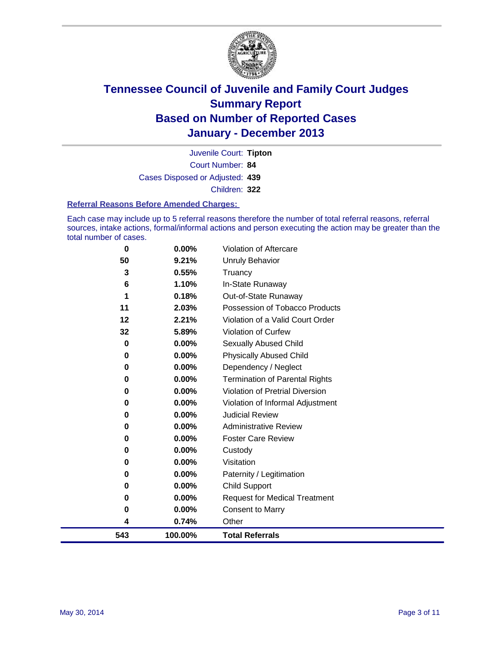

Court Number: **84** Juvenile Court: **Tipton** Cases Disposed or Adjusted: **439** Children: **322**

#### **Referral Reasons Before Amended Charges:**

Each case may include up to 5 referral reasons therefore the number of total referral reasons, referral sources, intake actions, formal/informal actions and person executing the action may be greater than the total number of cases.

| $\bf{0}$ | 0.00%    | Violation of Aftercare                 |
|----------|----------|----------------------------------------|
| 50       | 9.21%    | <b>Unruly Behavior</b>                 |
| 3        | 0.55%    | Truancy                                |
| 6        | 1.10%    | In-State Runaway                       |
| 1        | 0.18%    | Out-of-State Runaway                   |
| 11       | 2.03%    | Possession of Tobacco Products         |
| 12       | 2.21%    | Violation of a Valid Court Order       |
| 32       | 5.89%    | Violation of Curfew                    |
| 0        | $0.00\%$ | Sexually Abused Child                  |
| 0        | 0.00%    | <b>Physically Abused Child</b>         |
| 0        | 0.00%    | Dependency / Neglect                   |
| 0        | 0.00%    | <b>Termination of Parental Rights</b>  |
| 0        | $0.00\%$ | <b>Violation of Pretrial Diversion</b> |
| 0        | $0.00\%$ | Violation of Informal Adjustment       |
| 0        | 0.00%    | <b>Judicial Review</b>                 |
| 0        | $0.00\%$ | <b>Administrative Review</b>           |
| 0        | $0.00\%$ | <b>Foster Care Review</b>              |
| 0        | 0.00%    | Custody                                |
| 0        | 0.00%    | Visitation                             |
| 0        | 0.00%    | Paternity / Legitimation               |
| 0        | 0.00%    | <b>Child Support</b>                   |
| 0        | 0.00%    | <b>Request for Medical Treatment</b>   |
| $\bf{0}$ | 0.00%    | <b>Consent to Marry</b>                |
| 4        | 0.74%    | Other                                  |
| 543      | 100.00%  | <b>Total Referrals</b>                 |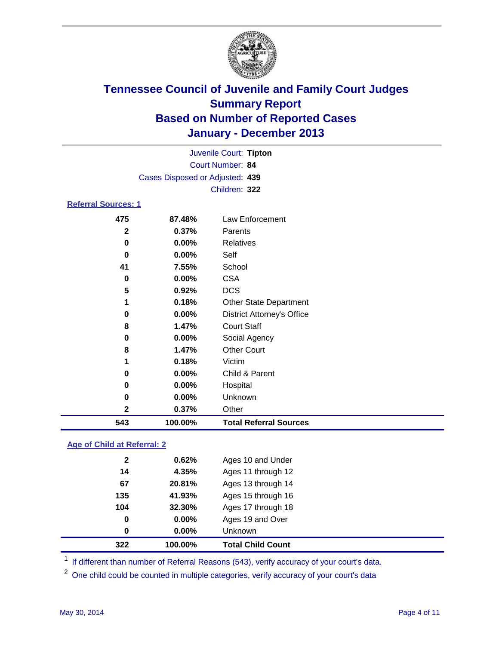

| Juvenile Court: Tipton<br>Court Number: 84<br>Cases Disposed or Adjusted: 439<br>Children: 322 |                             |                                         |  |  |  |  |
|------------------------------------------------------------------------------------------------|-----------------------------|-----------------------------------------|--|--|--|--|
| <b>Referral Sources: 1</b>                                                                     |                             |                                         |  |  |  |  |
| 475<br>2<br>0                                                                                  | 87.48%<br>0.37%<br>$0.00\%$ | Law Enforcement<br>Parents<br>Relatives |  |  |  |  |

| 543          | 100.00% | <b>Total Referral Sources</b>     |
|--------------|---------|-----------------------------------|
| $\mathbf{2}$ | 0.37%   | Other                             |
| 0            | 0.00%   | Unknown                           |
| 0            | 0.00%   | Hospital                          |
| 0            | 0.00%   | Child & Parent                    |
| 1            | 0.18%   | Victim                            |
| 8            | 1.47%   | <b>Other Court</b>                |
| 0            | 0.00%   | Social Agency                     |
| 8            | 1.47%   | <b>Court Staff</b>                |
| 0            | 0.00%   | <b>District Attorney's Office</b> |
| 1            | 0.18%   | <b>Other State Department</b>     |
| 5            | 0.92%   | <b>DCS</b>                        |
| $\bf{0}$     | 0.00%   | <b>CSA</b>                        |
| 41           | 7.55%   | School                            |
| 0            | 0.00%   | Self                              |
| 0            | 0.00%   | <b>Relatives</b>                  |

### **Age of Child at Referral: 2**

|              | 100.00%  | <b>Total Child Count</b> |
|--------------|----------|--------------------------|
| 0            | $0.00\%$ | <b>Unknown</b>           |
| 0            | $0.00\%$ | Ages 19 and Over         |
| 104          | 32.30%   | Ages 17 through 18       |
| 135          | 41.93%   | Ages 15 through 16       |
| 67           | 20.81%   | Ages 13 through 14       |
| 14           | 4.35%    | Ages 11 through 12       |
| $\mathbf{2}$ | 0.62%    | Ages 10 and Under        |
|              | 322      |                          |

<sup>1</sup> If different than number of Referral Reasons (543), verify accuracy of your court's data.

<sup>2</sup> One child could be counted in multiple categories, verify accuracy of your court's data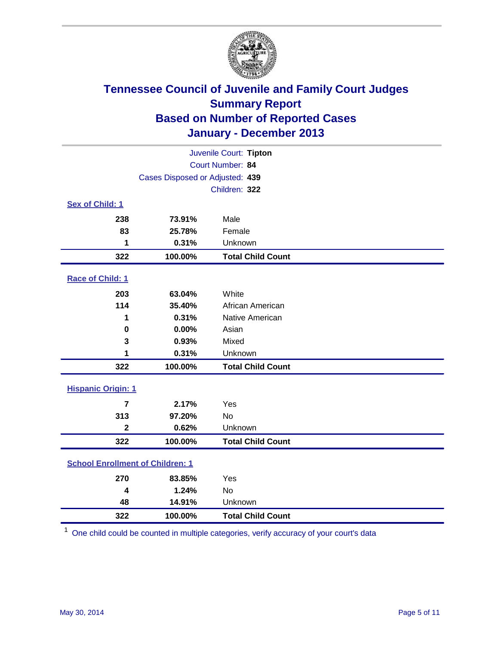

| Juvenile Court: Tipton                  |                                 |                          |  |  |
|-----------------------------------------|---------------------------------|--------------------------|--|--|
|                                         | <b>Court Number: 84</b>         |                          |  |  |
|                                         | Cases Disposed or Adjusted: 439 |                          |  |  |
|                                         |                                 | Children: 322            |  |  |
| Sex of Child: 1                         |                                 |                          |  |  |
| 238                                     | 73.91%                          | Male                     |  |  |
| 83                                      | 25.78%                          | Female                   |  |  |
| 1                                       | 0.31%                           | Unknown                  |  |  |
| 322                                     | 100.00%                         | <b>Total Child Count</b> |  |  |
| Race of Child: 1                        |                                 |                          |  |  |
| 203                                     | 63.04%                          | White                    |  |  |
| 114                                     | 35.40%                          | African American         |  |  |
| 1                                       | 0.31%                           | Native American          |  |  |
| $\bf{0}$                                | 0.00%                           | Asian                    |  |  |
| 3                                       | 0.93%                           | Mixed                    |  |  |
| 1                                       | 0.31%                           | Unknown                  |  |  |
| 322                                     | 100.00%                         | <b>Total Child Count</b> |  |  |
| <b>Hispanic Origin: 1</b>               |                                 |                          |  |  |
| $\overline{7}$                          | 2.17%                           | Yes                      |  |  |
| 313                                     | 97.20%                          | <b>No</b>                |  |  |
| 2                                       | 0.62%                           | Unknown                  |  |  |
| 322                                     | 100.00%                         | <b>Total Child Count</b> |  |  |
| <b>School Enrollment of Children: 1</b> |                                 |                          |  |  |
| 270                                     | 83.85%                          | Yes                      |  |  |
| $\boldsymbol{4}$                        | 1.24%                           | <b>No</b>                |  |  |
| 48                                      | 14.91%                          | Unknown                  |  |  |
| 322                                     | 100.00%                         | <b>Total Child Count</b> |  |  |

One child could be counted in multiple categories, verify accuracy of your court's data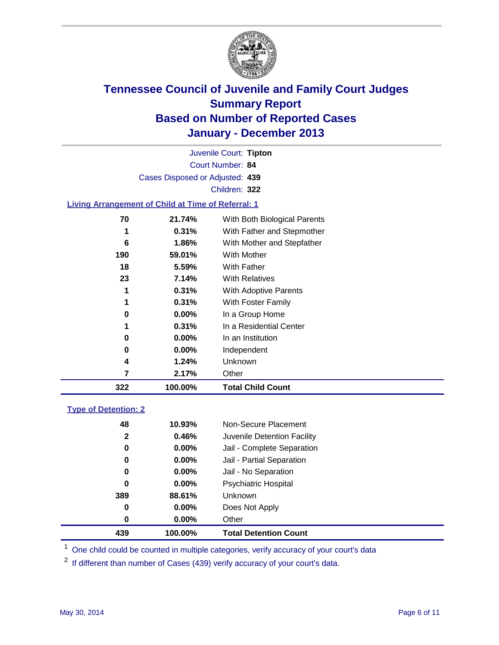

Court Number: **84** Juvenile Court: **Tipton** Cases Disposed or Adjusted: **439** Children: **322**

### **Living Arrangement of Child at Time of Referral: 1**

| 322 | 100.00%  | <b>Total Child Count</b>     |  |
|-----|----------|------------------------------|--|
| 7   | 2.17%    | Other                        |  |
| 4   | 1.24%    | Unknown                      |  |
| 0   | $0.00\%$ | Independent                  |  |
| 0   | $0.00\%$ | In an Institution            |  |
| 1   | 0.31%    | In a Residential Center      |  |
| 0   | $0.00\%$ | In a Group Home              |  |
| 1   | 0.31%    | With Foster Family           |  |
| 1   | 0.31%    | <b>With Adoptive Parents</b> |  |
| 23  | 7.14%    | <b>With Relatives</b>        |  |
| 18  | 5.59%    | With Father                  |  |
| 190 | 59.01%   | <b>With Mother</b>           |  |
| 6   | 1.86%    | With Mother and Stepfather   |  |
| 1   | 0.31%    | With Father and Stepmother   |  |
| 70  | 21.74%   | With Both Biological Parents |  |
|     |          |                              |  |

#### **Type of Detention: 2**

| 439          | 100.00%  | <b>Total Detention Count</b> |
|--------------|----------|------------------------------|
| 0            | $0.00\%$ | Other                        |
| 0            | $0.00\%$ | Does Not Apply               |
| 389          | 88.61%   | <b>Unknown</b>               |
| 0            | $0.00\%$ | <b>Psychiatric Hospital</b>  |
| 0            | 0.00%    | Jail - No Separation         |
| 0            | $0.00\%$ | Jail - Partial Separation    |
| 0            | 0.00%    | Jail - Complete Separation   |
| $\mathbf{2}$ | 0.46%    | Juvenile Detention Facility  |
| 48           | 10.93%   | Non-Secure Placement         |
|              |          |                              |

<sup>1</sup> One child could be counted in multiple categories, verify accuracy of your court's data

<sup>2</sup> If different than number of Cases (439) verify accuracy of your court's data.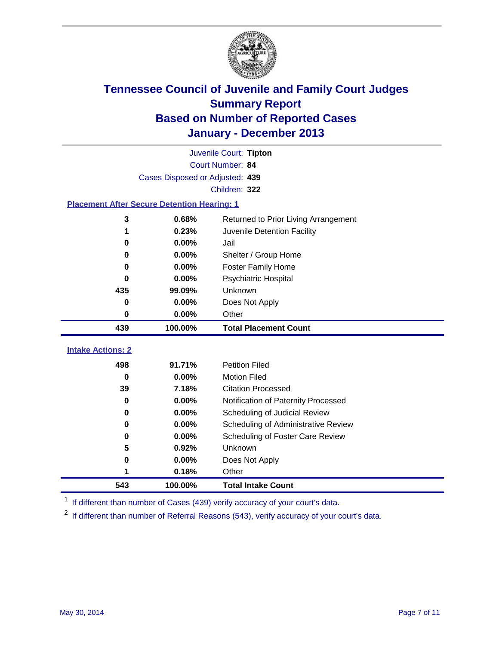

|                                                    |                                 | Juvenile Court: Tipton               |  |  |
|----------------------------------------------------|---------------------------------|--------------------------------------|--|--|
| Court Number: 84                                   |                                 |                                      |  |  |
|                                                    | Cases Disposed or Adjusted: 439 |                                      |  |  |
|                                                    |                                 | Children: 322                        |  |  |
| <b>Placement After Secure Detention Hearing: 1</b> |                                 |                                      |  |  |
| 3                                                  | 0.68%                           | Returned to Prior Living Arrangement |  |  |
| 1                                                  | 0.23%                           | Juvenile Detention Facility          |  |  |
| 0                                                  | 0.00%                           | Jail                                 |  |  |
| 0                                                  | 0.00%                           | Shelter / Group Home                 |  |  |
| $\bf{0}$                                           | 0.00%                           | <b>Foster Family Home</b>            |  |  |
| 0                                                  | 0.00%                           | Psychiatric Hospital                 |  |  |
| 435                                                | 99.09%                          | Unknown                              |  |  |
| 0                                                  | 0.00%                           | Does Not Apply                       |  |  |
| $\bf{0}$                                           | 0.00%                           | Other                                |  |  |
| 439                                                | 100.00%                         | <b>Total Placement Count</b>         |  |  |
| <b>Intake Actions: 2</b>                           |                                 |                                      |  |  |
|                                                    |                                 |                                      |  |  |
| 498                                                | 91.71%                          | <b>Petition Filed</b>                |  |  |
| $\bf{0}$                                           | 0.00%                           | <b>Motion Filed</b>                  |  |  |
| 39                                                 | 7.18%                           | <b>Citation Processed</b>            |  |  |
| 0                                                  | 0.00%                           | Notification of Paternity Processed  |  |  |
| 0                                                  | 0.00%                           | Scheduling of Judicial Review        |  |  |
| 0                                                  | 0.00%                           | Scheduling of Administrative Review  |  |  |
| 0                                                  | 0.00%                           | Scheduling of Foster Care Review     |  |  |
| 5                                                  | 0.92%                           | Unknown                              |  |  |
| $\bf{0}$                                           | 0.00%                           | Does Not Apply                       |  |  |
| 1                                                  |                                 |                                      |  |  |
|                                                    | 0.18%                           | Other                                |  |  |

<sup>1</sup> If different than number of Cases (439) verify accuracy of your court's data.

If different than number of Referral Reasons (543), verify accuracy of your court's data.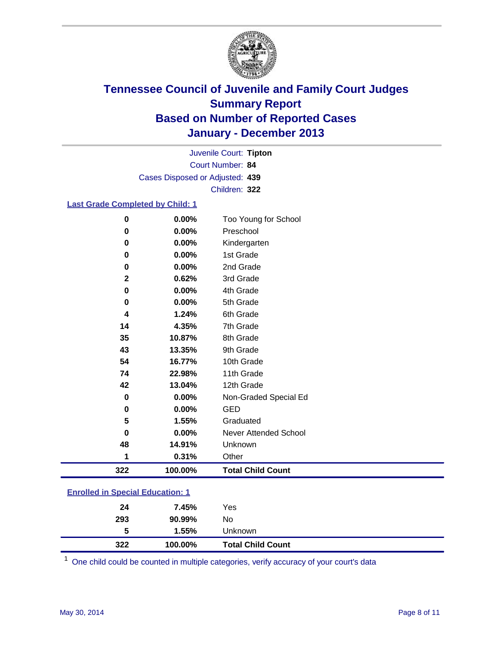

Court Number: **84** Juvenile Court: **Tipton** Cases Disposed or Adjusted: **439** Children: **322**

#### **Last Grade Completed by Child: 1**

| 322          | 100.00% | <b>Total Child Count</b> |
|--------------|---------|--------------------------|
| 1            | 0.31%   | Other                    |
| 48           | 14.91%  | Unknown                  |
| $\bf{0}$     | 0.00%   | Never Attended School    |
| 5            | 1.55%   | Graduated                |
| $\bf{0}$     | 0.00%   | <b>GED</b>               |
| $\bf{0}$     | 0.00%   | Non-Graded Special Ed    |
| 42           | 13.04%  | 12th Grade               |
| 74           | 22.98%  | 11th Grade               |
| 54           | 16.77%  | 10th Grade               |
| 43           | 13.35%  | 9th Grade                |
| 35           | 10.87%  | 8th Grade                |
| 14           | 4.35%   | 7th Grade                |
| 4            | 1.24%   | 6th Grade                |
| 0            | 0.00%   | 5th Grade                |
| 0            | 0.00%   | 4th Grade                |
| $\mathbf{2}$ | 0.62%   | 3rd Grade                |
| 0            | 0.00%   | 2nd Grade                |
| 0            | 0.00%   | 1st Grade                |
| $\bf{0}$     | 0.00%   | Kindergarten             |
| $\bf{0}$     | 0.00%   | Preschool                |
| $\bf{0}$     | 0.00%   | Too Young for School     |

### **Enrolled in Special Education: 1**

| 24<br>293 | 7.45%<br>90.99% | Yes<br>No                |  |
|-----------|-----------------|--------------------------|--|
| 5         | 1.55%           | Unknown                  |  |
| 322       | 100.00%         | <b>Total Child Count</b> |  |

One child could be counted in multiple categories, verify accuracy of your court's data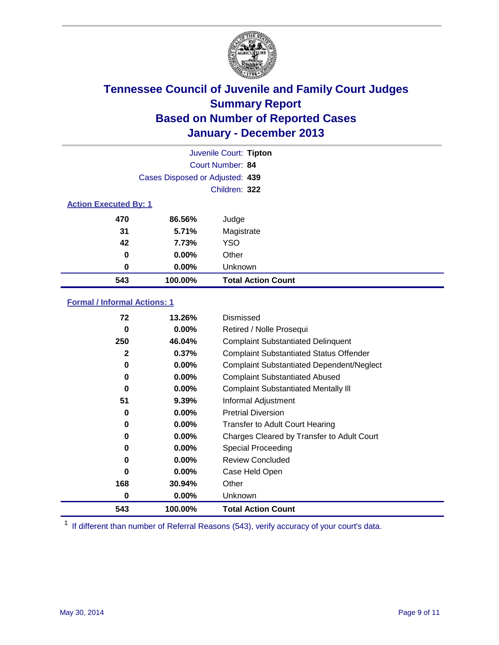

|                              |                                 | Juvenile Court: Tipton    |
|------------------------------|---------------------------------|---------------------------|
|                              |                                 | Court Number: 84          |
|                              | Cases Disposed or Adjusted: 439 |                           |
|                              |                                 | Children: 322             |
| <b>Action Executed By: 1</b> |                                 |                           |
| 470                          | 86.56%                          | Judge                     |
| 31                           | 5.71%                           | Magistrate                |
| 42                           | 7.73%                           | <b>YSO</b>                |
| 0                            | $0.00\%$                        | Other                     |
| 0                            | 0.00%                           | Unknown                   |
| 543                          | 100.00%                         | <b>Total Action Count</b> |

### **Formal / Informal Actions: 1**

| 72  | 13.26%   | Dismissed                                        |
|-----|----------|--------------------------------------------------|
| 0   | $0.00\%$ | Retired / Nolle Prosequi                         |
| 250 | 46.04%   | <b>Complaint Substantiated Delinquent</b>        |
| 2   | 0.37%    | <b>Complaint Substantiated Status Offender</b>   |
| 0   | 0.00%    | <b>Complaint Substantiated Dependent/Neglect</b> |
| 0   | $0.00\%$ | <b>Complaint Substantiated Abused</b>            |
| 0   | 0.00%    | <b>Complaint Substantiated Mentally III</b>      |
| 51  | 9.39%    | Informal Adjustment                              |
| 0   | $0.00\%$ | <b>Pretrial Diversion</b>                        |
| 0   | $0.00\%$ | <b>Transfer to Adult Court Hearing</b>           |
| 0   | 0.00%    | Charges Cleared by Transfer to Adult Court       |
| 0   | $0.00\%$ | Special Proceeding                               |
| 0   | $0.00\%$ | <b>Review Concluded</b>                          |
| 0   | $0.00\%$ | Case Held Open                                   |
| 168 | 30.94%   | Other                                            |
| 0   | $0.00\%$ | Unknown                                          |
| 543 | 100.00%  | <b>Total Action Count</b>                        |

<sup>1</sup> If different than number of Referral Reasons (543), verify accuracy of your court's data.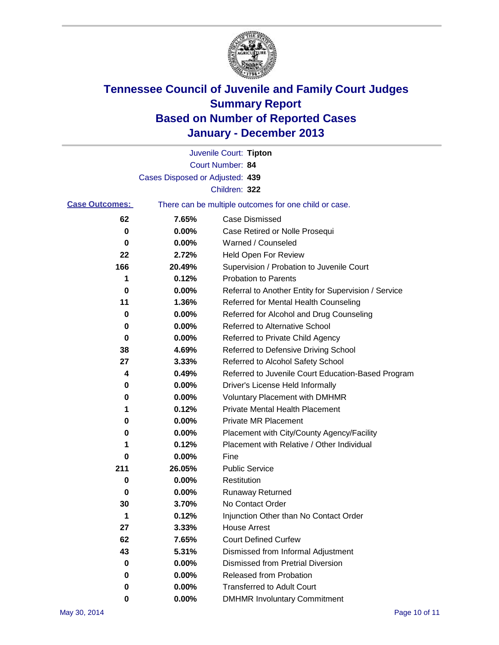

|                       |                                 | Juvenile Court: Tipton                                |
|-----------------------|---------------------------------|-------------------------------------------------------|
|                       |                                 | Court Number: 84                                      |
|                       | Cases Disposed or Adjusted: 439 |                                                       |
|                       |                                 | Children: 322                                         |
| <b>Case Outcomes:</b> |                                 | There can be multiple outcomes for one child or case. |
| 62                    | 7.65%                           | Case Dismissed                                        |
| 0                     | 0.00%                           | Case Retired or Nolle Prosequi                        |
| 0                     | 0.00%                           | Warned / Counseled                                    |
| 22                    | 2.72%                           | Held Open For Review                                  |
| 166                   | 20.49%                          | Supervision / Probation to Juvenile Court             |
| 1                     | 0.12%                           | <b>Probation to Parents</b>                           |
| 0                     | 0.00%                           | Referral to Another Entity for Supervision / Service  |
| 11                    | 1.36%                           | Referred for Mental Health Counseling                 |
| 0                     | 0.00%                           | Referred for Alcohol and Drug Counseling              |
| 0                     | 0.00%                           | <b>Referred to Alternative School</b>                 |
| 0                     | 0.00%                           | Referred to Private Child Agency                      |
| 38                    | 4.69%                           | Referred to Defensive Driving School                  |
| 27                    | 3.33%                           | Referred to Alcohol Safety School                     |
| 4                     | 0.49%                           | Referred to Juvenile Court Education-Based Program    |
| 0                     | 0.00%                           | Driver's License Held Informally                      |
| 0                     | 0.00%                           | <b>Voluntary Placement with DMHMR</b>                 |
| 1                     | 0.12%                           | <b>Private Mental Health Placement</b>                |
| 0                     | 0.00%                           | <b>Private MR Placement</b>                           |
| 0                     | 0.00%                           | Placement with City/County Agency/Facility            |
| 1                     | 0.12%                           | Placement with Relative / Other Individual            |
| 0                     | 0.00%                           | Fine                                                  |
| 211                   | 26.05%                          | <b>Public Service</b>                                 |
| 0                     | 0.00%                           | Restitution                                           |
| 0                     | 0.00%                           | <b>Runaway Returned</b>                               |
| 30                    | 3.70%                           | No Contact Order                                      |
| 1                     | 0.12%                           | Injunction Other than No Contact Order                |
| 27                    | 3.33%                           | <b>House Arrest</b>                                   |
| 62                    | 7.65%                           | <b>Court Defined Curfew</b>                           |
| 43                    | 5.31%                           | Dismissed from Informal Adjustment                    |
| 0                     | 0.00%                           | <b>Dismissed from Pretrial Diversion</b>              |
| 0                     | 0.00%                           | Released from Probation                               |
| 0                     | 0.00%                           | <b>Transferred to Adult Court</b>                     |
| 0                     | 0.00%                           | <b>DMHMR Involuntary Commitment</b>                   |